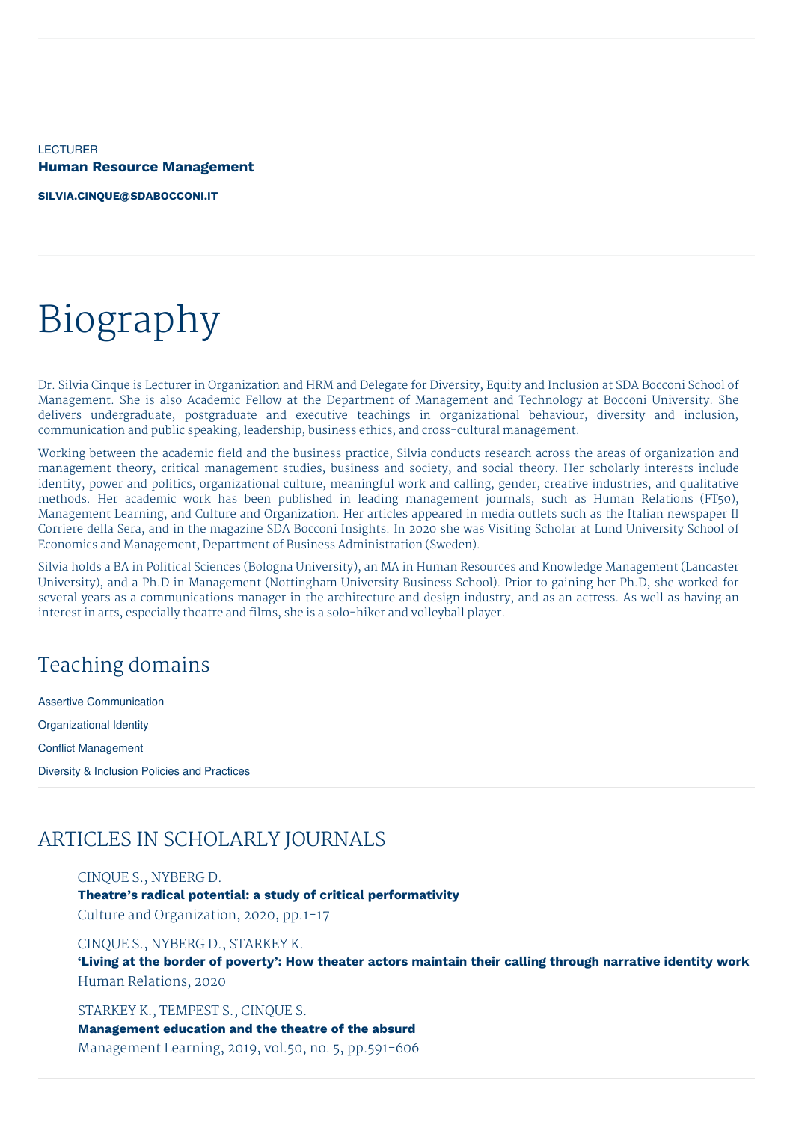LECTURER **Human Resource Management**

**[SILVIA.CINQUE@SDABOCCONI.IT](mailto:silvia.cinque@sdabocconi.it)**

# Biography

Dr. Silvia Cinque is Lecturer in Organization and HRM and Delegate for Diversity, Equity and Inclusion at SDA Bocconi School of Management. She is also Academic Fellow at the Department of Management and Technology at Bocconi University. She delivers undergraduate, postgraduate and executive teachings in organizational behaviour, diversity and inclusion, communication and public speaking, leadership, business ethics, and cross-cultural management.

Working between the academic field and the business practice, Silvia conducts research across the areas of organization and management theory, critical management studies, business and society, and social theory. Her scholarly interests include identity, power and politics, organizational culture, meaningful work and calling, gender, creative industries, and qualitative methods. Her academic work has been published in leading management journals, such as Human Relations (FT50), Management Learning, and Culture and Organization. Her articles appeared in media outlets such as the Italian newspaper Il Corriere della Sera, and in the magazine SDA Bocconi Insights. In 2020 she was Visiting Scholar at Lund University School of Economics and Management, Department of Business Administration (Sweden).

Silvia holds a BA in Political Sciences (Bologna University), an MA in Human Resources and Knowledge Management (Lancaster University), and a Ph.D in Management (Nottingham University Business School). Prior to gaining her Ph.D, she worked for several years as a communications manager in the architecture and design industry, and as an actress. As well as having an interest in arts, especially theatre and films, she is a solo-hiker and volleyball player.

### Teaching domains

Assertive Communication Organizational Identity Conflict Management Diversity & Inclusion Policies and Practices

### ARTICLES IN SCHOLARLY JOURNALS

CINQUE S., NYBERG D. **Theatre's radical potential: a study of critical performativity** Culture and Organization, 2020, pp.1-17

CINQUE S., NYBERG D., STARKEY K. **'Living at the border of poverty': How theater actors maintain their calling through narrative identity work** Human Relations, 2020

STARKEY K., TEMPEST S., CINQUE S. **Management education and the theatre of the absurd** Management Learning, 2019, vol.50, no. 5, pp.591-606